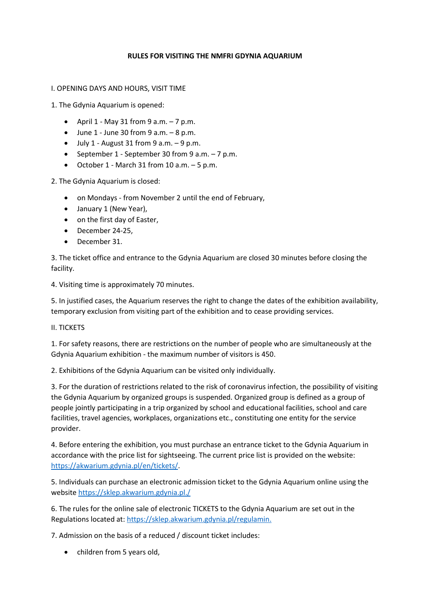## **RULES FOR VISITING THE NMFRI GDYNIA AQUARIUM**

I. OPENING DAYS AND HOURS, VISIT TIME

1. The Gdynia Aquarium is opened:

- April  $1 May 31$  from  $9 a.m. 7 p.m.$
- $\bullet$  June 1 June 30 from 9 a.m.  $-8$  p.m.
- $\bullet$  July 1 August 31 from 9 a.m.  $-9$  p.m.
- September 1 September 30 from 9 a.m. 7 p.m.
- October 1 March 31 from 10 a.m. 5 p.m.

2. The Gdynia Aquarium is closed:

- on Mondays from November 2 until the end of February,
- January 1 (New Year),
- on the first day of Easter,
- December 24-25,
- December 31.

3. The ticket office and entrance to the Gdynia Aquarium are closed 30 minutes before closing the facility.

4. Visiting time is approximately 70 minutes.

5. In justified cases, the Aquarium reserves the right to change the dates of the exhibition availability, temporary exclusion from visiting part of the exhibition and to cease providing services.

II. TICKETS

1. For safety reasons, there are restrictions on the number of people who are simultaneously at the Gdynia Aquarium exhibition - the maximum number of visitors is 450.

2. Exhibitions of the Gdynia Aquarium can be visited only individually.

3. For the duration of restrictions related to the risk of coronavirus infection, the possibility of visiting the Gdynia Aquarium by organized groups is suspended. Organized group is defined as a group of people jointly participating in a trip organized by school and educational facilities, school and care facilities, travel agencies, workplaces, organizations etc., constituting one entity for the service provider.

4. Before entering the exhibition, you must purchase an entrance ticket to the Gdynia Aquarium in accordance with the price list for sightseeing. The current price list is provided on the website: [https://akwarium.gdynia.pl/en/tickets/.](https://akwarium.gdynia.pl/en/tickets/)

5. Individuals can purchase an electronic admission ticket to the Gdynia Aquarium online using the websit[e https://sklep.akwarium.gdynia.pl./](https://sklep.akwarium.gdynia.pl./)

6. The rules for the online sale of electronic TICKETS to the Gdynia Aquarium are set out in the Regulations located at[: https://sklep.akwarium.gdynia.pl/regulamin.](https://sklep.akwarium.gdynia.pl/regulamin.)

7. Admission on the basis of a reduced / discount ticket includes:

• children from 5 years old,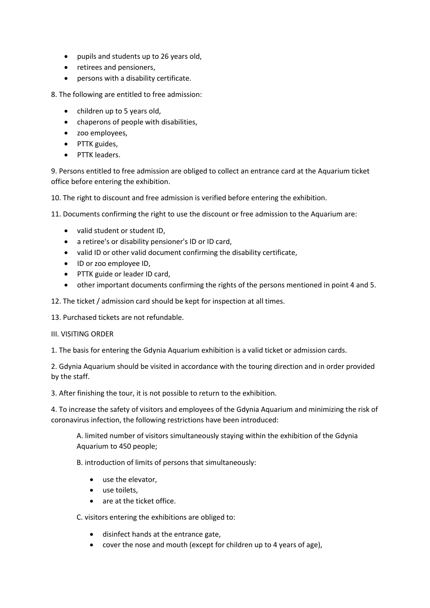- pupils and students up to 26 years old,
- retirees and pensioners,
- persons with a disability certificate.

8. The following are entitled to free admission:

- children up to 5 years old,
- chaperons of people with disabilities,
- zoo employees,
- PTTK guides,
- PTTK leaders.

9. Persons entitled to free admission are obliged to collect an entrance card at the Aquarium ticket office before entering the exhibition.

10. The right to discount and free admission is verified before entering the exhibition.

11. Documents confirming the right to use the discount or free admission to the Aquarium are:

- valid student or student ID,
- a retiree's or disability pensioner's ID or ID card,
- valid ID or other valid document confirming the disability certificate,
- ID or zoo employee ID,
- PTTK guide or leader ID card,
- other important documents confirming the rights of the persons mentioned in point 4 and 5.
- 12. The ticket / admission card should be kept for inspection at all times.
- 13. Purchased tickets are not refundable.

## III. VISITING ORDER

1. The basis for entering the Gdynia Aquarium exhibition is a valid ticket or admission cards.

2. Gdynia Aquarium should be visited in accordance with the touring direction and in order provided by the staff.

3. After finishing the tour, it is not possible to return to the exhibition.

4. To increase the safety of visitors and employees of the Gdynia Aquarium and minimizing the risk of coronavirus infection, the following restrictions have been introduced:

A. limited number of visitors simultaneously staying within the exhibition of the Gdynia Aquarium to 450 people;

B. introduction of limits of persons that simultaneously:

- use the elevator,
- use toilets,
- are at the ticket office.

C. visitors entering the exhibitions are obliged to:

- disinfect hands at the entrance gate,
- cover the nose and mouth (except for children up to 4 years of age),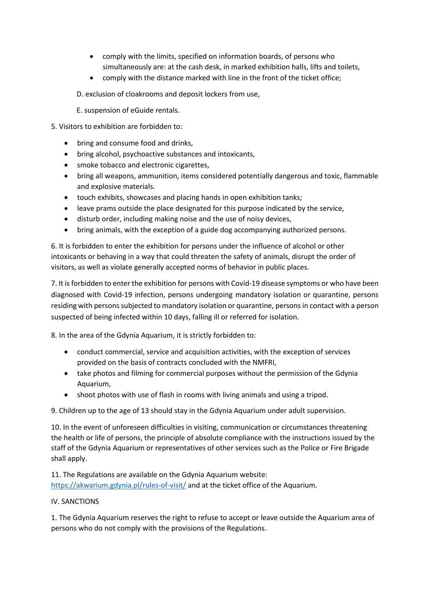- comply with the limits, specified on information boards, of persons who simultaneously are: at the cash desk, in marked exhibition halls, lifts and toilets,
- comply with the distance marked with line in the front of the ticket office;
- D. exclusion of cloakrooms and deposit lockers from use,
- E. suspension of eGuide rentals.
- 5. Visitors to exhibition are forbidden to:
	- bring and consume food and drinks.
	- bring alcohol, psychoactive substances and intoxicants,
	- smoke tobacco and electronic cigarettes,
	- bring all weapons, ammunition, items considered potentially dangerous and toxic, flammable and explosive materials.
	- touch exhibits, showcases and placing hands in open exhibition tanks;
	- leave prams outside the place designated for this purpose indicated by the service,
	- disturb order, including making noise and the use of noisy devices,
	- bring animals, with the exception of a guide dog accompanying authorized persons.

6. It is forbidden to enter the exhibition for persons under the influence of alcohol or other intoxicants or behaving in a way that could threaten the safety of animals, disrupt the order of visitors, as well as violate generally accepted norms of behavior in public places.

7. It is forbidden to enter the exhibition for persons with Covid-19 disease symptoms or who have been diagnosed with Covid-19 infection, persons undergoing mandatory isolation or quarantine, persons residing with persons subjected to mandatory isolation or quarantine, persons in contact with a person suspected of being infected within 10 days, falling ill or referred for isolation.

8. In the area of the Gdynia Aquarium, it is strictly forbidden to:

- conduct commercial, service and acquisition activities, with the exception of services provided on the basis of contracts concluded with the NMFRI,
- take photos and filming for commercial purposes without the permission of the Gdynia Aquarium,
- shoot photos with use of flash in rooms with living animals and using a tripod.

9. Children up to the age of 13 should stay in the Gdynia Aquarium under adult supervision.

10. In the event of unforeseen difficulties in visiting, communication or circumstances threatening the health or life of persons, the principle of absolute compliance with the instructions issued by the staff of the Gdynia Aquarium or representatives of other services such as the Police or Fire Brigade shall apply.

11. The Regulations are available on the Gdynia Aquarium website: <https://akwarium.gdynia.pl/rules-of-visit/> and at the ticket office of the Aquarium.

## IV. SANCTIONS

1. The Gdynia Aquarium reserves the right to refuse to accept or leave outside the Aquarium area of persons who do not comply with the provisions of the Regulations.